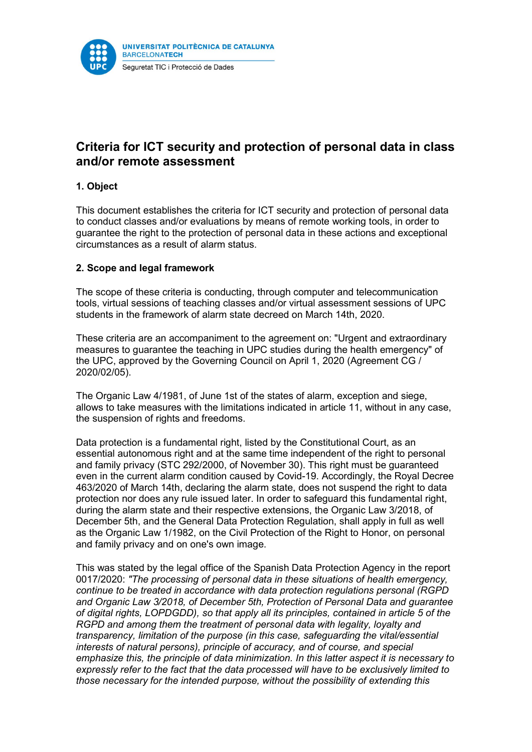

# Criteria for ICT security and protection of personal data in class and/or remote assessment

## 1. Object

This document establishes the criteria for ICT security and protection of personal data to conduct classes and/or evaluations by means of remote working tools, in order to guarantee the right to the protection of personal data in these actions and exceptional circumstances as a result of alarm status.

### 2. Scope and legal framework

The scope of these criteria is conducting, through computer and telecommunication tools, virtual sessions of teaching classes and/or virtual assessment sessions of UPC students in the framework of alarm state decreed on March 14th, 2020.

These criteria are an accompaniment to the agreement on: "Urgent and extraordinary measures to guarantee the teaching in UPC studies during the health emergency" of the UPC, approved by the Governing Council on April 1, 2020 (Agreement CG / 2020/02/05).

The Organic Law 4/1981, of June 1st of the states of alarm, exception and siege, allows to take measures with the limitations indicated in article 11, without in any case, the suspension of rights and freedoms.

Data protection is a fundamental right, listed by the Constitutional Court, as an essential autonomous right and at the same time independent of the right to personal and family privacy (STC 292/2000, of November 30). This right must be guaranteed even in the current alarm condition caused by Covid-19. Accordingly, the Royal Decree 463/2020 of March 14th, declaring the alarm state, does not suspend the right to data protection nor does any rule issued later. In order to safeguard this fundamental right, during the alarm state and their respective extensions, the Organic Law 3/2018, of December 5th, and the General Data Protection Regulation, shall apply in full as well as the Organic Law 1/1982, on the Civil Protection of the Right to Honor, on personal and family privacy and on one's own image.

This was stated by the legal office of the Spanish Data Protection Agency in the report 0017/2020: "The processing of personal data in these situations of health emergency, continue to be treated in accordance with data protection regulations personal (RGPD and Organic Law 3/2018, of December 5th, Protection of Personal Data and guarantee of digital rights, LOPDGDD), so that apply all its principles, contained in article 5 of the RGPD and among them the treatment of personal data with legality, loyalty and transparency, limitation of the purpose (in this case, safeguarding the vital/essential interests of natural persons), principle of accuracy, and of course, and special emphasize this, the principle of data minimization. In this latter aspect it is necessary to expressly refer to the fact that the data processed will have to be exclusively limited to those necessary for the intended purpose, without the possibility of extending this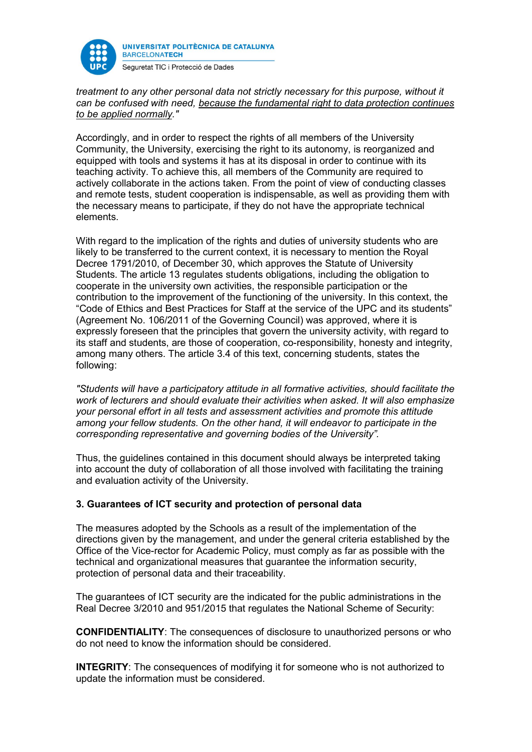

treatment to any other personal data not strictly necessary for this purpose, without it can be confused with need, because the fundamental right to data protection continues to be applied normally."

Accordingly, and in order to respect the rights of all members of the University Community, the University, exercising the right to its autonomy, is reorganized and equipped with tools and systems it has at its disposal in order to continue with its teaching activity. To achieve this, all members of the Community are required to actively collaborate in the actions taken. From the point of view of conducting classes and remote tests, student cooperation is indispensable, as well as providing them with the necessary means to participate, if they do not have the appropriate technical elements.

With regard to the implication of the rights and duties of university students who are likely to be transferred to the current context, it is necessary to mention the Royal Decree 1791/2010, of December 30, which approves the Statute of University Students. The article 13 regulates students obligations, including the obligation to cooperate in the university own activities, the responsible participation or the contribution to the improvement of the functioning of the university. In this context, the "Code of Ethics and Best Practices for Staff at the service of the UPC and its students" (Agreement No. 106/2011 of the Governing Council) was approved, where it is expressly foreseen that the principles that govern the university activity, with regard to its staff and students, are those of cooperation, co-responsibility, honesty and integrity, among many others. The article 3.4 of this text, concerning students, states the following:

"Students will have a participatory attitude in all formative activities, should facilitate the work of lecturers and should evaluate their activities when asked. It will also emphasize your personal effort in all tests and assessment activities and promote this attitude among your fellow students. On the other hand, it will endeavor to participate in the corresponding representative and governing bodies of the University".

Thus, the guidelines contained in this document should always be interpreted taking into account the duty of collaboration of all those involved with facilitating the training and evaluation activity of the University.

### 3. Guarantees of ICT security and protection of personal data

The measures adopted by the Schools as a result of the implementation of the directions given by the management, and under the general criteria established by the Office of the Vice-rector for Academic Policy, must comply as far as possible with the technical and organizational measures that guarantee the information security, protection of personal data and their traceability.

The guarantees of ICT security are the indicated for the public administrations in the Real Decree 3/2010 and 951/2015 that regulates the National Scheme of Security:

CONFIDENTIALITY: The consequences of disclosure to unauthorized persons or who do not need to know the information should be considered.

**INTEGRITY:** The consequences of modifying it for someone who is not authorized to update the information must be considered.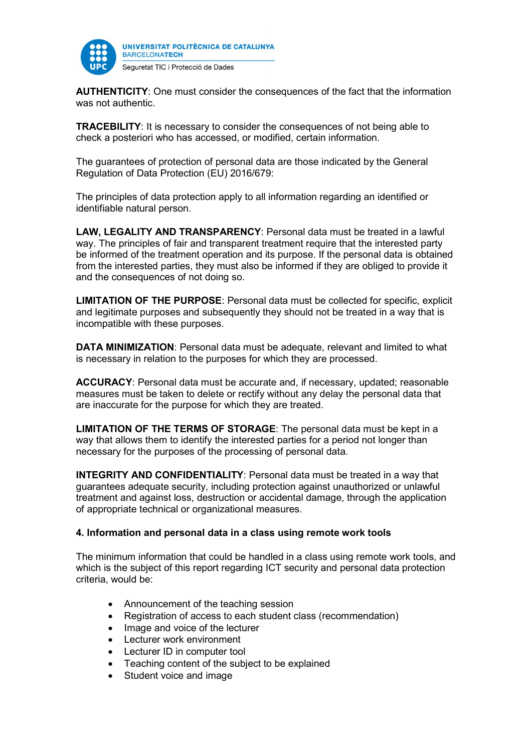

AUTHENTICITY: One must consider the consequences of the fact that the information was not authentic.

TRACEBILITY: It is necessary to consider the consequences of not being able to check a posteriori who has accessed, or modified, certain information.

The guarantees of protection of personal data are those indicated by the General Regulation of Data Protection (EU) 2016/679:

The principles of data protection apply to all information regarding an identified or identifiable natural person.

LAW, LEGALITY AND TRANSPARENCY: Personal data must be treated in a lawful way. The principles of fair and transparent treatment require that the interested party be informed of the treatment operation and its purpose. If the personal data is obtained from the interested parties, they must also be informed if they are obliged to provide it and the consequences of not doing so.

LIMITATION OF THE PURPOSE: Personal data must be collected for specific, explicit and legitimate purposes and subsequently they should not be treated in a way that is incompatible with these purposes.

DATA MINIMIZATION: Personal data must be adequate, relevant and limited to what is necessary in relation to the purposes for which they are processed.

ACCURACY: Personal data must be accurate and, if necessary, updated; reasonable measures must be taken to delete or rectify without any delay the personal data that are inaccurate for the purpose for which they are treated.

LIMITATION OF THE TERMS OF STORAGE: The personal data must be kept in a way that allows them to identify the interested parties for a period not longer than necessary for the purposes of the processing of personal data.

INTEGRITY AND CONFIDENTIALITY: Personal data must be treated in a way that guarantees adequate security, including protection against unauthorized or unlawful treatment and against loss, destruction or accidental damage, through the application of appropriate technical or organizational measures.

### 4. Information and personal data in a class using remote work tools

The minimum information that could be handled in a class using remote work tools, and which is the subject of this report regarding ICT security and personal data protection criteria, would be:

- Announcement of the teaching session
- Registration of access to each student class (recommendation)
- Image and voice of the lecturer
- Lecturer work environment
- Lecturer ID in computer tool
- Teaching content of the subject to be explained
- Student voice and image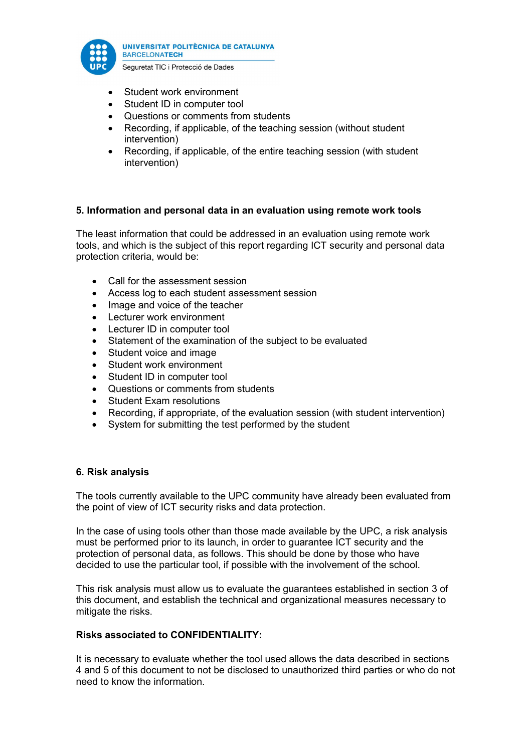

- Student work environment
- Student ID in computer tool
- Questions or comments from students
- Recording, if applicable, of the teaching session (without student intervention)
- Recording, if applicable, of the entire teaching session (with student intervention)

### 5. Information and personal data in an evaluation using remote work tools

The least information that could be addressed in an evaluation using remote work tools, and which is the subject of this report regarding ICT security and personal data protection criteria, would be:

- Call for the assessment session
- Access log to each student assessment session
- Image and voice of the teacher
- Lecturer work environment
- Lecturer ID in computer tool
- Statement of the examination of the subject to be evaluated
- Student voice and image
- Student work environment
- Student ID in computer tool
- Questions or comments from students
- Student Exam resolutions
- Recording, if appropriate, of the evaluation session (with student intervention)
- System for submitting the test performed by the student

### 6. Risk analysis

The tools currently available to the UPC community have already been evaluated from the point of view of ICT security risks and data protection.

In the case of using tools other than those made available by the UPC, a risk analysis must be performed prior to its launch, in order to guarantee ICT security and the protection of personal data, as follows. This should be done by those who have decided to use the particular tool, if possible with the involvement of the school.

This risk analysis must allow us to evaluate the guarantees established in section 3 of this document, and establish the technical and organizational measures necessary to mitigate the risks.

### Risks associated to CONFIDENTIALITY:

It is necessary to evaluate whether the tool used allows the data described in sections 4 and 5 of this document to not be disclosed to unauthorized third parties or who do not need to know the information.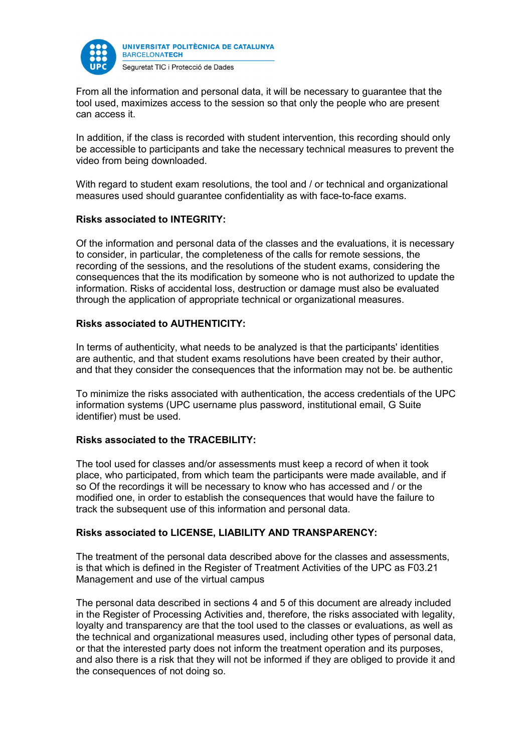

From all the information and personal data, it will be necessary to guarantee that the tool used, maximizes access to the session so that only the people who are present can access it.

In addition, if the class is recorded with student intervention, this recording should only be accessible to participants and take the necessary technical measures to prevent the video from being downloaded.

With regard to student exam resolutions, the tool and / or technical and organizational measures used should guarantee confidentiality as with face-to-face exams.

### Risks associated to INTEGRITY:

Of the information and personal data of the classes and the evaluations, it is necessary to consider, in particular, the completeness of the calls for remote sessions, the recording of the sessions, and the resolutions of the student exams, considering the consequences that the its modification by someone who is not authorized to update the information. Risks of accidental loss, destruction or damage must also be evaluated through the application of appropriate technical or organizational measures.

### Risks associated to AUTHENTICITY:

In terms of authenticity, what needs to be analyzed is that the participants' identities are authentic, and that student exams resolutions have been created by their author, and that they consider the consequences that the information may not be. be authentic

To minimize the risks associated with authentication, the access credentials of the UPC information systems (UPC username plus password, institutional email, G Suite identifier) must be used.

### Risks associated to the TRACEBILITY:

The tool used for classes and/or assessments must keep a record of when it took place, who participated, from which team the participants were made available, and if so Of the recordings it will be necessary to know who has accessed and / or the modified one, in order to establish the consequences that would have the failure to track the subsequent use of this information and personal data.

### Risks associated to LICENSE, LIABILITY AND TRANSPARENCY:

The treatment of the personal data described above for the classes and assessments, is that which is defined in the Register of Treatment Activities of the UPC as F03.21 Management and use of the virtual campus

The personal data described in sections 4 and 5 of this document are already included in the Register of Processing Activities and, therefore, the risks associated with legality, loyalty and transparency are that the tool used to the classes or evaluations, as well as the technical and organizational measures used, including other types of personal data, or that the interested party does not inform the treatment operation and its purposes, and also there is a risk that they will not be informed if they are obliged to provide it and the consequences of not doing so.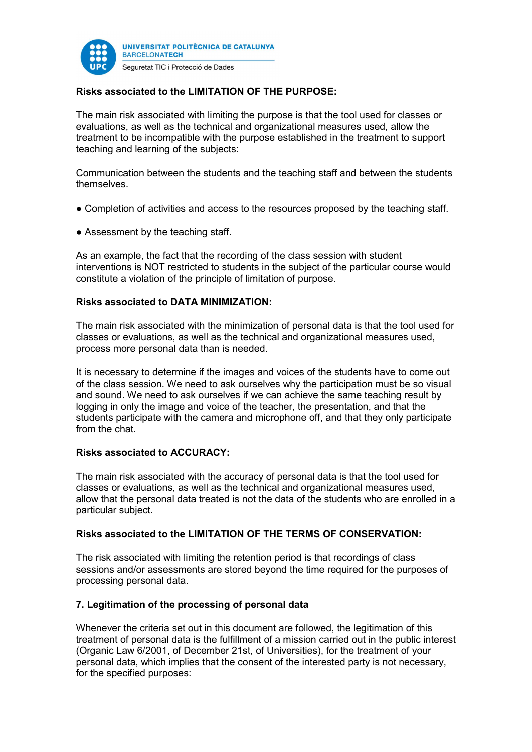

## Risks associated to the LIMITATION OF THE PURPOSE:

The main risk associated with limiting the purpose is that the tool used for classes or evaluations, as well as the technical and organizational measures used, allow the treatment to be incompatible with the purpose established in the treatment to support teaching and learning of the subjects:

Communication between the students and the teaching staff and between the students themselves.

- Completion of activities and access to the resources proposed by the teaching staff.
- Assessment by the teaching staff.

As an example, the fact that the recording of the class session with student interventions is NOT restricted to students in the subject of the particular course would constitute a violation of the principle of limitation of purpose.

#### Risks associated to DATA MINIMIZATION:

The main risk associated with the minimization of personal data is that the tool used for classes or evaluations, as well as the technical and organizational measures used, process more personal data than is needed.

It is necessary to determine if the images and voices of the students have to come out of the class session. We need to ask ourselves why the participation must be so visual and sound. We need to ask ourselves if we can achieve the same teaching result by logging in only the image and voice of the teacher, the presentation, and that the students participate with the camera and microphone off, and that they only participate from the chat.

### Risks associated to ACCURACY:

The main risk associated with the accuracy of personal data is that the tool used for classes or evaluations, as well as the technical and organizational measures used, allow that the personal data treated is not the data of the students who are enrolled in a particular subject.

#### Risks associated to the LIMITATION OF THE TERMS OF CONSERVATION:

The risk associated with limiting the retention period is that recordings of class sessions and/or assessments are stored beyond the time required for the purposes of processing personal data.

#### 7. Legitimation of the processing of personal data

Whenever the criteria set out in this document are followed, the legitimation of this treatment of personal data is the fulfillment of a mission carried out in the public interest (Organic Law 6/2001, of December 21st, of Universities), for the treatment of your personal data, which implies that the consent of the interested party is not necessary, for the specified purposes: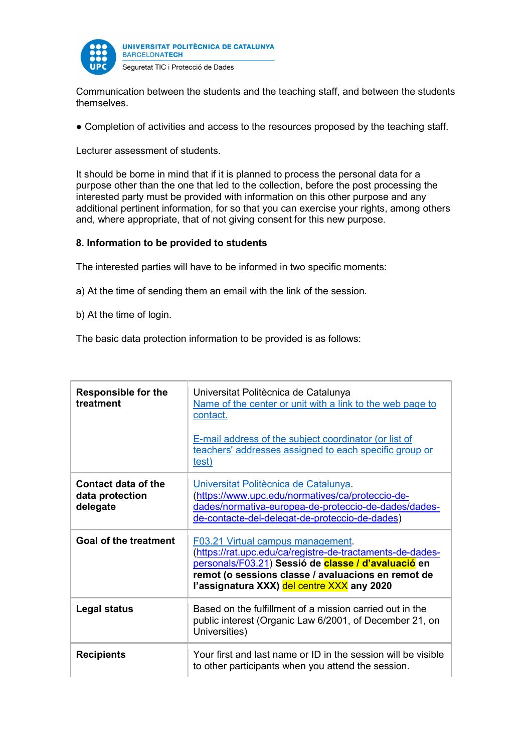

Communication between the students and the teaching staff, and between the students themselves.

• Completion of activities and access to the resources proposed by the teaching staff.

Lecturer assessment of students.

It should be borne in mind that if it is planned to process the personal data for a purpose other than the one that led to the collection, before the post processing the interested party must be provided with information on this other purpose and any additional pertinent information, for so that you can exercise your rights, among others and, where appropriate, that of not giving consent for this new purpose.

### 8. Information to be provided to students

The interested parties will have to be informed in two specific moments:

a) At the time of sending them an email with the link of the session.

b) At the time of login.

The basic data protection information to be provided is as follows:

| <b>Responsible for the</b><br>treatment            | Universitat Politècnica de Catalunya<br>Name of the center or unit with a link to the web page to<br>contact.<br>E-mail address of the subject coordinator (or list of<br>teachers' addresses assigned to each specific group or<br>test)                              |
|----------------------------------------------------|------------------------------------------------------------------------------------------------------------------------------------------------------------------------------------------------------------------------------------------------------------------------|
| Contact data of the<br>data protection<br>delegate | Universitat Politècnica de Catalunya.<br>(https://www.upc.edu/normatives/ca/proteccio-de-<br>dades/normativa-europea-de-proteccio-de-dades/dades-<br>de-contacte-del-delegat-de-proteccio-de-dades)                                                                    |
| <b>Goal of the treatment</b>                       | F03.21 Virtual campus management.<br>(https://rat.upc.edu/ca/registre-de-tractaments-de-dades-<br>personals/F03.21) Sessió de classe / d'avaluació en<br>remot (o sessions classe / avaluacions en remot de<br>l'assignatura XXX) <mark>del centre XXX</mark> any 2020 |
| Legal status                                       | Based on the fulfillment of a mission carried out in the<br>public interest (Organic Law 6/2001, of December 21, on<br>Universities)                                                                                                                                   |
| <b>Recipients</b>                                  | Your first and last name or $ID$ in the session will be visible<br>to other participants when you attend the session.                                                                                                                                                  |